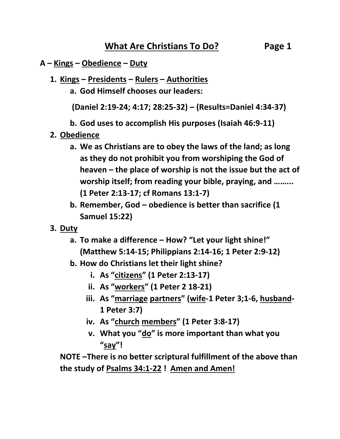#### **A – Kings – Obedience – Duty**

- **1. Kings – Presidents – Rulers – Authorities**
	- **a. God Himself chooses our leaders:**

 **(Daniel 2:19-24; 4:17; 28:25-32) – (Results=Daniel 4:34-37)**

**b. God uses to accomplish His purposes (Isaiah 46:9-11)**

- **2. Obedience**
	- **a. We as Christians are to obey the laws of the land; as long as they do not prohibit you from worshiping the God of heaven – the place of worship is not the issue but the act of worship itself; from reading your bible, praying, and ……... (1 Peter 2:13-17; cf Romans 13:1-7)**
	- **b. Remember, God – obedience is better than sacrifice (1 Samuel 15:22)**
- **3. Duty**
	- **a. To make a difference – How? "Let your light shine!" (Matthew 5:14-15; Philippians 2:14-16; 1 Peter 2:9-12)**
	- **b. How do Christians let their light shine?**
		- **i. As "citizens" (1 Peter 2:13-17)**
		- **ii. As "workers" (1 Peter 2 18-21)**
		- **iii. As "marriage partners" (wife-1 Peter 3;1-6, husband-1 Peter 3:7)**
		- **iv. As "church members" (1 Peter 3:8-17)**
		- **v. What you "do" is more important than what you "say"!**

**NOTE –There is no better scriptural fulfillment of the above than the study of Psalms 34:1-22 ! Amen and Amen!**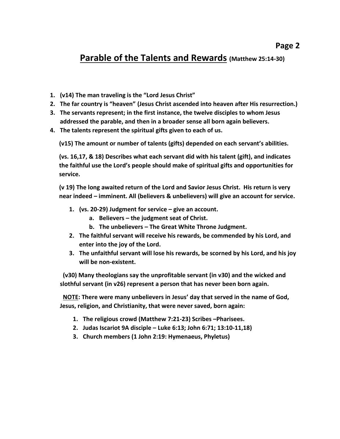# **Parable of the Talents and Rewards (Matthew 25:14-30)**

- **1. (v14) The man traveling is the "Lord Jesus Christ"**
- **2. The far country is "heaven" (Jesus Christ ascended into heaven after His resurrection.)**
- **3. The servants represent; in the first instance, the twelve disciples to whom Jesus addressed the parable, and then in a broader sense all born again believers.**
- **4. The talents represent the spiritual gifts given to each of us.**

**(v15) The amount or number of talents (gifts) depended on each servant's abilities.**

**(vs. 16,17, & 18) Describes what each servant did with his talent (gift), and indicates the faithful use the Lord's people should make of spiritual gifts and opportunities for service.**

**(v 19) The long awaited return of the Lord and Savior Jesus Christ. His return is very near indeed – imminent. All (believers & unbelievers) will give an account for service.**

- **1. (vs. 20-29) Judgment for service – give an account.**
	- **a. Believers – the judgment seat of Christ.**
	- **b. The unbelievers – The Great White Throne Judgment.**
- **2. The faithful servant will receive his rewards, be commended by his Lord, and enter into the joy of the Lord.**
- **3. The unfaithful servant will lose his rewards, be scorned by his Lord, and his joy will be non-existent.**

**(v30) Many theologians say the unprofitable servant (in v30) and the wicked and slothful servant (in v26) represent a person that has never been born again.**

**NOTE: There were many unbelievers in Jesus' day that served in the name of God, Jesus, religion, and Christianity, that were never saved, born again:**

- **1. The religious crowd (Matthew 7:21-23) Scribes –Pharisees.**
- **2. Judas Iscariot 9A disciple – Luke 6:13; John 6:71; 13:10-11,18)**
- **3. Church members (1 John 2:19: Hymenaeus, Phyletus)**